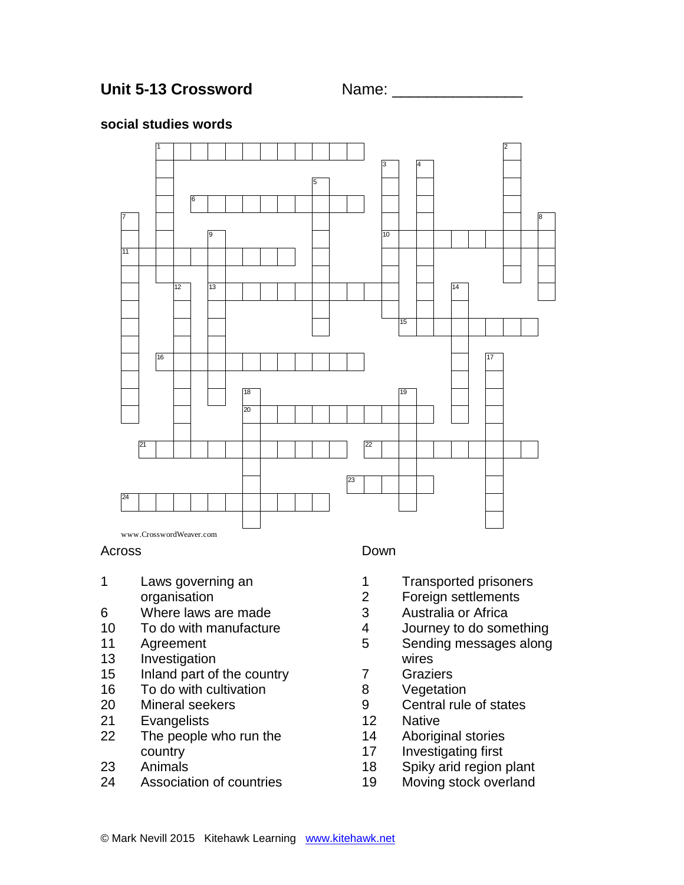

### **social studies words**



#### Across

- Laws governing an organisation
- Where laws are made
- To do with manufacture
- Agreement
- Investigation
- Inland part of the country
- To do with cultivation
- Mineral seekers
- Evangelists
- The people who run the country
- Animals
- Association of countries

### Down

- Transported prisoners
- Foreign settlements
- Australia or Africa
- Journey to do something
- Sending messages along wires
- Graziers
- Vegetation
- Central rule of states
- Native
- Aboriginal stories
- Investigating first
- Spiky arid region plant
- Moving stock overland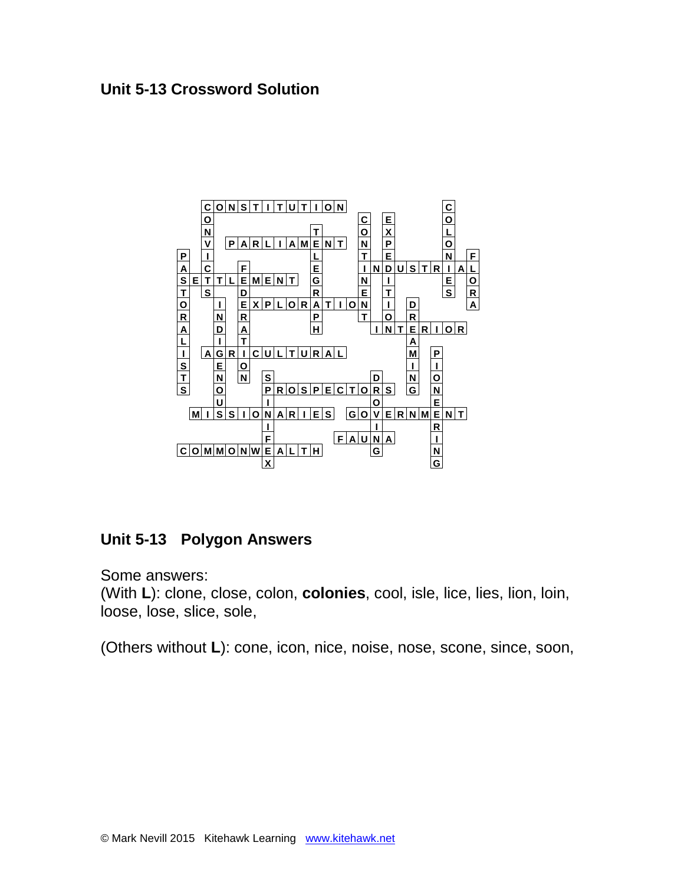## **Unit 5-13 Crossword Solution**



# **Unit 5-13 Polygon Answers**

Some answers:

(With **L**): clone, close, colon, **colonies**, cool, isle, lice, lies, lion, loin, loose, lose, slice, sole,

(Others without **L**): cone, icon, nice, noise, nose, scone, since, soon,